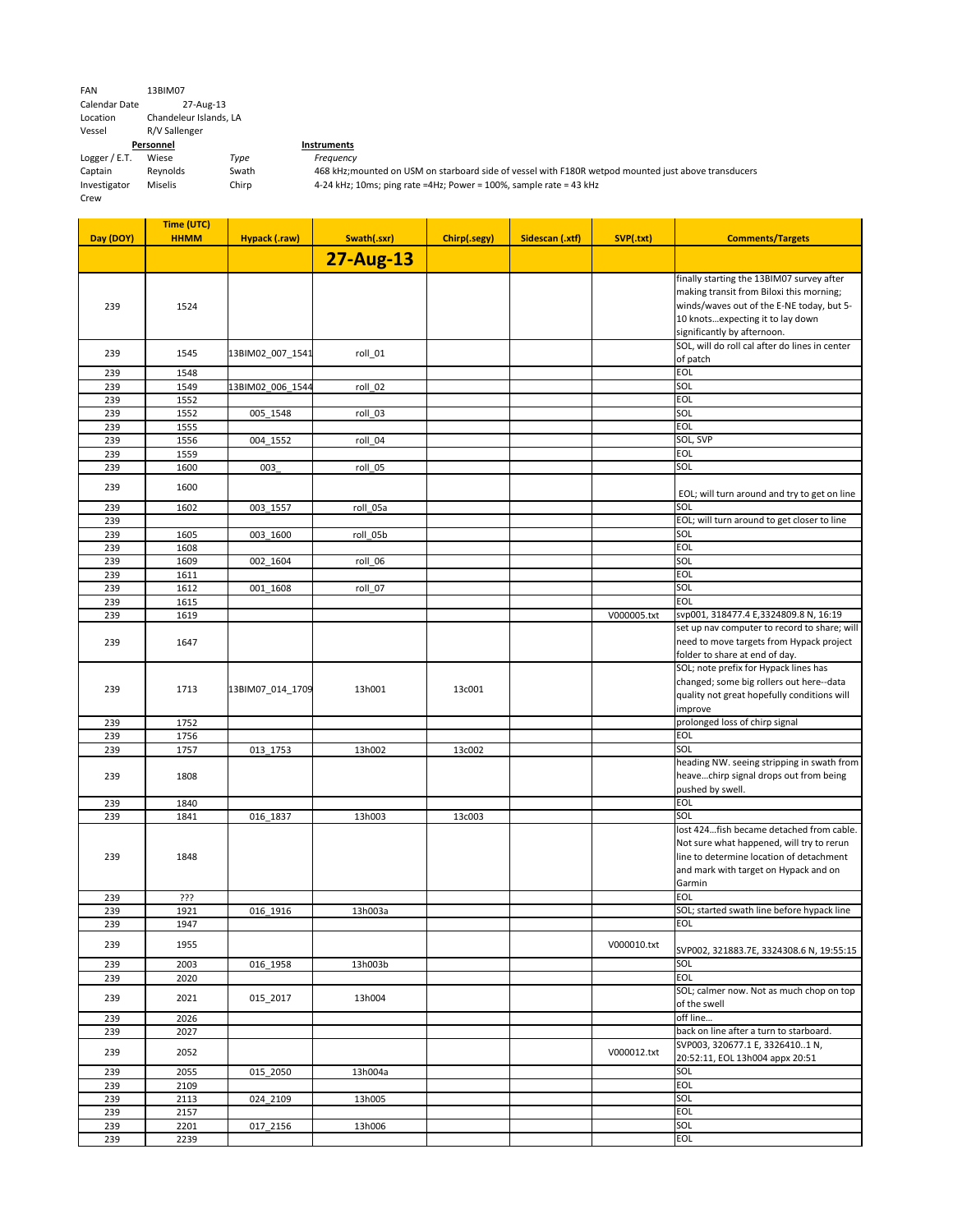Logger / E.T. Wiese *Type Frequency* **Instruments** 

th 468 kHz;mounted on USM on starboard side of vessel with F180R wetpod mounted just above transducers 4-24 kHz; 10ms; ping rate =4Hz; Power = 100%, sample rate = 43 kHz

| FAN                                     | 13BIM07                |       |  |  |  |
|-----------------------------------------|------------------------|-------|--|--|--|
| <b>Calendar Date</b>                    | 27-Aug-13              |       |  |  |  |
| Location                                | Chandeleur Islands, LA |       |  |  |  |
| Vessel                                  | R/V Sallenger          |       |  |  |  |
|                                         | Personnel              |       |  |  |  |
| Logger / $E.T.$                         | Wiese                  | Type  |  |  |  |
| Captain                                 | Reynolds               | Swath |  |  |  |
| <b>Miselis</b><br>Investigator<br>Chirp |                        |       |  |  |  |
| Crew                                    |                        |       |  |  |  |

| Day (DOY) | Time (UTC)<br><b>HHMM</b> | Hypack (.raw)    | Swath(.sxr)      | Chirp(.segy) | Sidescan (.xtf) | SVP(.txt)   | <b>Comments/Targets</b>                                                                  |
|-----------|---------------------------|------------------|------------------|--------------|-----------------|-------------|------------------------------------------------------------------------------------------|
|           |                           |                  |                  |              |                 |             |                                                                                          |
|           |                           |                  | <b>27-Aug-13</b> |              |                 |             |                                                                                          |
|           |                           |                  |                  |              |                 |             | finally starting the 13BIM07 survey after                                                |
|           |                           |                  |                  |              |                 |             | making transit from Biloxi this morning;                                                 |
| 239       | 1524                      |                  |                  |              |                 |             | winds/waves out of the E-NE today, but 5-                                                |
|           |                           |                  |                  |              |                 |             | 10 knotsexpecting it to lay down<br>significantly by afternoon.                          |
|           |                           |                  |                  |              |                 |             | SOL, will do roll cal after do lines in center                                           |
| 239       | 1545                      | 13BIM02_007_1541 | roll_01          |              |                 |             | of patch                                                                                 |
| 239       | 1548                      |                  |                  |              |                 |             | <b>EOL</b>                                                                               |
| 239       | 1549                      | 13BIM02_006_1544 | roll_02          |              |                 |             | SOL                                                                                      |
| 239       | 1552                      |                  |                  |              |                 |             | <b>EOL</b>                                                                               |
| 239       | 1552                      | 005_1548         | roll_03          |              |                 |             | SOL                                                                                      |
| 239       | 1555                      |                  |                  |              |                 |             | <b>EOL</b>                                                                               |
| 239       | 1556                      | 004 1552         | roll_04          |              |                 |             | SOL, SVP                                                                                 |
| 239       | 1559                      |                  |                  |              |                 |             | <b>EOL</b>                                                                               |
| 239       | 1600                      | 003              | roll 05          |              |                 |             | SOL                                                                                      |
| 239       | 1600                      |                  |                  |              |                 |             | EOL; will turn around and try to get on line                                             |
| 239       | 1602                      | 003_1557         | roll_05a         |              |                 |             | SOL                                                                                      |
| 239       |                           |                  |                  |              |                 |             | EOL; will turn around to get closer to line                                              |
| 239       | 1605                      | 003_1600         | roll 05b         |              |                 |             | SOL                                                                                      |
| 239       | 1608                      |                  |                  |              |                 |             | <b>EOL</b>                                                                               |
| 239       | 1609                      | 002_1604         | roll_06          |              |                 |             | SOL                                                                                      |
| 239       | 1611                      |                  |                  |              |                 |             | <b>EOL</b>                                                                               |
| 239       | 1612                      | 001_1608         | roll_07          |              |                 |             | SOL                                                                                      |
| 239       | 1615                      |                  |                  |              |                 |             | <b>EOL</b>                                                                               |
| 239       | 1619                      |                  |                  |              |                 | V000005.txt | svp001, 318477.4 E,3324809.8 N, 16:19                                                    |
|           |                           |                  |                  |              |                 |             | set up nav computer to record to share; will<br>need to move targets from Hypack project |
| 239       | 1647                      |                  |                  |              |                 |             | folder to share at end of day.                                                           |
|           |                           |                  |                  |              |                 |             | SOL; note prefix for Hypack lines has                                                    |
|           |                           |                  |                  |              |                 |             | changed; some big rollers out here--data                                                 |
| 239       | 1713                      | 13BIM07_014_1709 | 13h001           | 13c001       |                 |             | quality not great hopefully conditions will                                              |
|           |                           |                  |                  |              |                 |             | improve                                                                                  |
| 239       | 1752                      |                  |                  |              |                 |             | prolonged loss of chirp signal                                                           |
| 239       | 1756                      |                  |                  |              |                 |             | <b>EOL</b>                                                                               |
| 239       | 1757                      | 013_1753         | 13h002           | 13c002       |                 |             | SOL                                                                                      |
|           |                           |                  |                  |              |                 |             | heading NW. seeing stripping in swath from                                               |
| 239       | 1808                      |                  |                  |              |                 |             | heavechirp signal drops out from being                                                   |
|           |                           |                  |                  |              |                 |             | pushed by swell.                                                                         |
| 239       | 1840                      |                  |                  |              |                 |             | <b>EOL</b>                                                                               |
| 239       | 1841                      | 016_1837         | 13h003           | 13c003       |                 |             | SOL<br>lost 424fish became detached from cable.                                          |
|           |                           |                  |                  |              |                 |             | Not sure what happened, will try to rerun                                                |
| 239       | 1848                      |                  |                  |              |                 |             | line to determine location of detachment                                                 |
|           |                           |                  |                  |              |                 |             | and mark with target on Hypack and on                                                    |
|           |                           |                  |                  |              |                 |             | Garmin                                                                                   |
| 239       | ???                       |                  |                  |              |                 |             | <b>EOL</b>                                                                               |
| 239       | 1921                      | 016_1916         | 13h003a          |              |                 |             | SOL; started swath line before hypack line                                               |
| 239       | 1947                      |                  |                  |              |                 |             | <b>EOL</b>                                                                               |
| 239       | 1955                      |                  |                  |              |                 | V000010.txt |                                                                                          |
|           |                           |                  |                  |              |                 |             | SVP002, 321883.7E, 3324308.6 N, 19:55:15                                                 |
| 239       | 2003                      | 016_1958         | 13h003b          |              |                 |             | SOL                                                                                      |
| 239       | 2020                      |                  |                  |              |                 |             | EOL                                                                                      |
| 239       | 2021                      | 015_2017         | 13h004           |              |                 |             | SOL; calmer now. Not as much chop on top                                                 |
| 239       | 2026                      |                  |                  |              |                 |             | of the swell<br>off line                                                                 |
| 239       | 2027                      |                  |                  |              |                 |             | back on line after a turn to starboard.                                                  |
|           |                           |                  |                  |              |                 |             | SVP003, 320677.1 E, 33264101 N,                                                          |
| 239       | 2052                      |                  |                  |              |                 | V000012.txt | 20:52:11, EOL 13h004 appx 20:51                                                          |
| 239       | 2055                      | 015 2050         | 13h004a          |              |                 |             | SOL                                                                                      |
| 239       | 2109                      |                  |                  |              |                 |             | <b>EOL</b>                                                                               |
| 239       | 2113                      | 024_2109         | 13h005           |              |                 |             | SOL                                                                                      |
| 239       | 2157                      |                  |                  |              |                 |             | <b>EOL</b>                                                                               |
| 239       | 2201                      | 017_2156         | 13h006           |              |                 |             | SOL                                                                                      |
| 239       | 2239                      |                  |                  |              |                 |             | <b>EOL</b>                                                                               |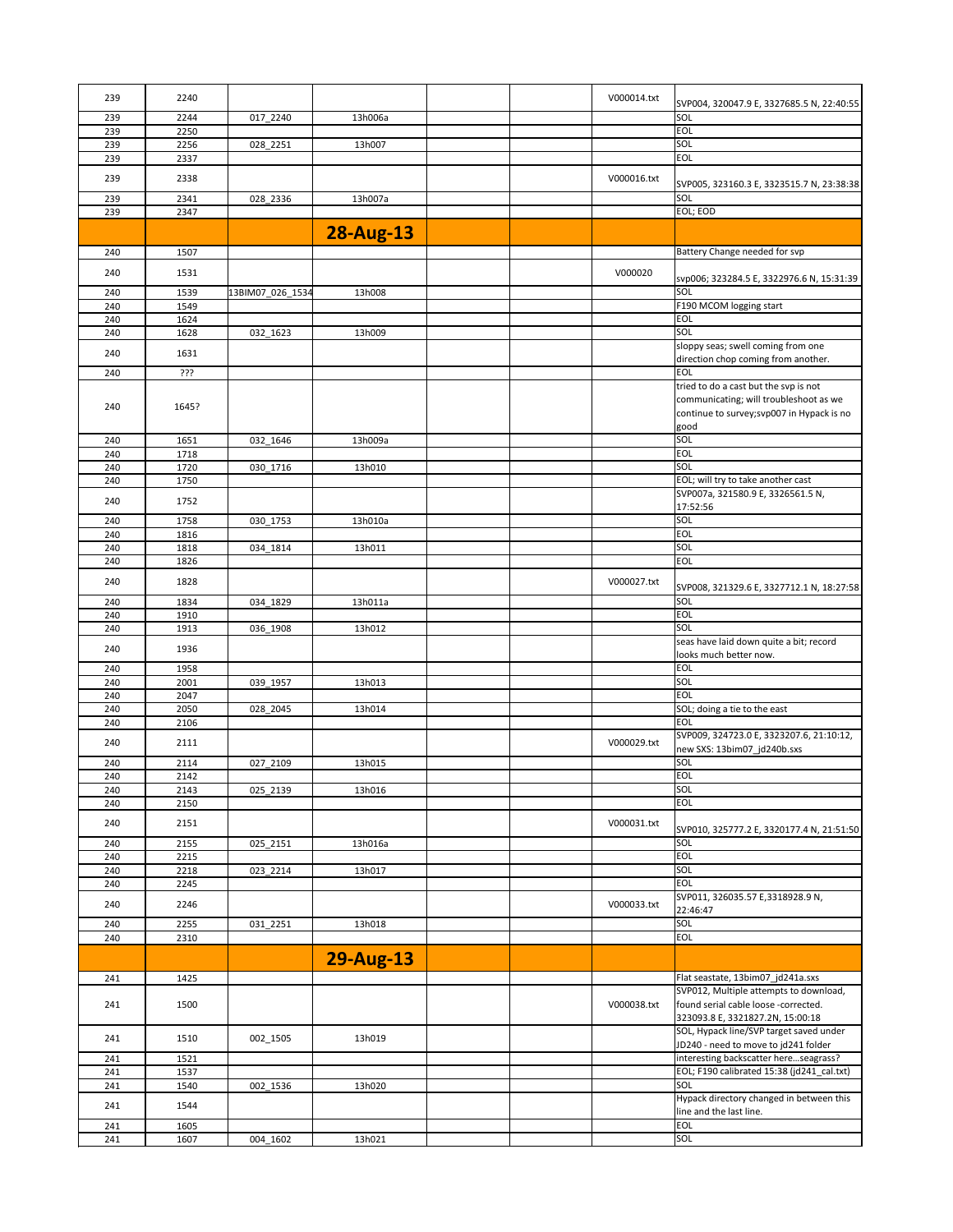| 239 | 2240  |                  |                  | V000014.txt | SVP004, 320047.9 E, 3327685.5 N, 22:40:55  |
|-----|-------|------------------|------------------|-------------|--------------------------------------------|
| 239 | 2244  | 017_2240         | 13h006a          |             | SOL                                        |
| 239 | 2250  |                  |                  |             | <b>EOL</b>                                 |
| 239 | 2256  | 028_2251         | 13h007           |             | SOL                                        |
| 239 | 2337  |                  |                  |             | <b>EOL</b>                                 |
|     |       |                  |                  |             |                                            |
| 239 | 2338  |                  |                  | V000016.txt | SVP005, 323160.3 E, 3323515.7 N, 23:38:38  |
| 239 | 2341  | 028_2336         | 13h007a          |             | SOL                                        |
| 239 | 2347  |                  |                  |             | EOL; EOD                                   |
|     |       |                  |                  |             |                                            |
|     |       |                  | <b>28-Aug-13</b> |             |                                            |
| 240 | 1507  |                  |                  |             | Battery Change needed for svp              |
|     |       |                  |                  |             |                                            |
| 240 | 1531  |                  |                  | V000020     | svp006; 323284.5 E, 3322976.6 N, 15:31:39  |
| 240 | 1539  | 13BIM07_026_1534 | 13h008           |             | SOL                                        |
| 240 | 1549  |                  |                  |             | F190 MCOM logging start                    |
| 240 | 1624  |                  |                  |             | <b>EOL</b>                                 |
| 240 | 1628  | 032_1623         | 13h009           |             | SOL                                        |
|     |       |                  |                  |             | sloppy seas; swell coming from one         |
| 240 | 1631  |                  |                  |             | direction chop coming from another.        |
| 240 | ???   |                  |                  |             | <b>EOL</b>                                 |
|     |       |                  |                  |             | tried to do a cast but the svp is not      |
|     |       |                  |                  |             | communicating; will troubleshoot as we     |
| 240 | 1645? |                  |                  |             | continue to survey; svp007 in Hypack is no |
|     |       |                  |                  |             | good                                       |
| 240 | 1651  |                  | 13h009a          |             | SOL                                        |
|     |       | 032_1646         |                  |             | <b>EOL</b>                                 |
| 240 | 1718  |                  |                  |             | SOL                                        |
| 240 | 1720  | 030_1716         | 13h010           |             |                                            |
| 240 | 1750  |                  |                  |             | EOL; will try to take another cast         |
| 240 | 1752  |                  |                  |             | SVP007a, 321580.9 E, 3326561.5 N,          |
|     |       |                  |                  |             | 17:52:56                                   |
| 240 | 1758  | 030_1753         | 13h010a          |             | SOL                                        |
| 240 | 1816  |                  |                  |             | <b>EOL</b>                                 |
| 240 | 1818  | 034_1814         | 13h011           |             | SOL                                        |
| 240 | 1826  |                  |                  |             | <b>EOL</b>                                 |
| 240 | 1828  |                  |                  | V000027.txt |                                            |
|     |       |                  |                  |             | SVP008, 321329.6 E, 3327712.1 N, 18:27:58  |
| 240 | 1834  | 034 1829         | 13h011a          |             | SOL                                        |
| 240 | 1910  |                  |                  |             | <b>EOL</b>                                 |
| 240 | 1913  | 036_1908         | 13h012           |             | SOL                                        |
| 240 | 1936  |                  |                  |             | seas have laid down quite a bit; record    |
|     |       |                  |                  |             | looks much better now.                     |
| 240 | 1958  |                  |                  |             | <b>EOL</b>                                 |
| 240 | 2001  | 039_1957         | 13h013           |             | SOL                                        |
| 240 | 2047  |                  |                  |             | <b>EOL</b>                                 |
| 240 | 2050  | 028_2045         | 13h014           |             | SOL; doing a tie to the east               |
| 240 | 2106  |                  |                  |             | <b>EOL</b>                                 |
|     |       |                  |                  |             | SVP009, 324723.0 E, 3323207.6, 21:10:12,   |
| 240 | 2111  |                  |                  | V000029.txt | new SXS: 13bim07_jd240b.sxs                |
| 240 | 2114  | 027_2109         | 13h015           |             | SOL                                        |
| 240 | 2142  |                  |                  |             | <b>EOL</b>                                 |
| 240 | 2143  | 025_2139         | 13h016           |             | SOL                                        |
| 240 | 2150  |                  |                  |             | <b>EOL</b>                                 |
|     |       |                  |                  |             |                                            |
| 240 | 2151  |                  |                  | V000031.txt | SVP010, 325777.2 E, 3320177.4 N, 21:51:50  |
| 240 | 2155  | 025_2151         | 13h016a          |             | SOL                                        |
| 240 | 2215  |                  |                  |             | <b>EOL</b>                                 |
| 240 | 2218  | 023_2214         | 13h017           |             | SOL                                        |
| 240 | 2245  |                  |                  |             | <b>EOL</b>                                 |
|     |       |                  |                  |             | SVP011, 326035.57 E,3318928.9 N,           |
| 240 | 2246  |                  |                  | V000033.txt | 22:46:47                                   |
| 240 | 2255  | 031_2251         | 13h018           |             | SOL                                        |
| 240 | 2310  |                  |                  |             | <b>EOL</b>                                 |
|     |       |                  |                  |             |                                            |
|     |       |                  | <b>29-Aug-13</b> |             |                                            |
| 241 |       |                  |                  |             | Flat seastate, 13bim07_jd241a.sxs          |
|     | 1425  |                  |                  |             | SVP012, Multiple attempts to download,     |
|     |       |                  |                  |             | found serial cable loose -corrected.       |
| 241 | 1500  |                  |                  | V000038.txt |                                            |
|     |       |                  |                  |             | 323093.8 E, 3321827.2N, 15:00:18           |
| 241 | 1510  | 002_1505         | 13h019           |             | SOL, Hypack line/SVP target saved under    |
|     |       |                  |                  |             | JD240 - need to move to jd241 folder       |
| 241 | 1521  |                  |                  |             | interesting backscatter hereseagrass?      |
| 241 | 1537  |                  |                  |             | EOL; F190 calibrated 15:38 (jd241_cal.txt) |
| 241 | 1540  | 002_1536         | 13h020           |             | SOL                                        |
| 241 | 1544  |                  |                  |             | Hypack directory changed in between this   |
|     |       |                  |                  |             | line and the last line.                    |
| 241 | 1605  |                  |                  |             | <b>EOL</b>                                 |
| 241 | 1607  | 004_1602         | 13h021           |             | SOL                                        |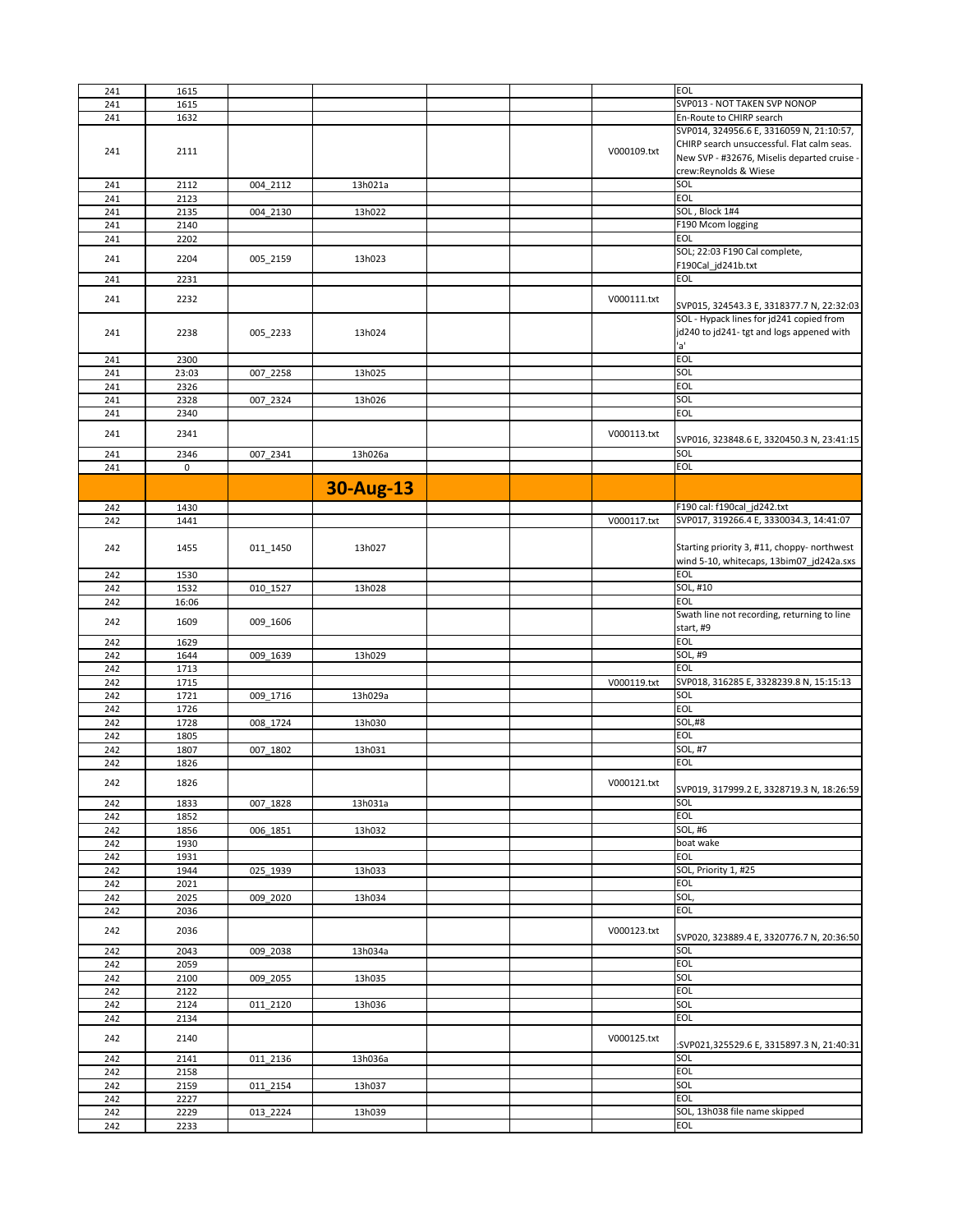| 241        | 1615         |          |                  |             | <b>EOL</b>                                  |
|------------|--------------|----------|------------------|-------------|---------------------------------------------|
| 241        | 1615         |          |                  |             | SVP013 - NOT TAKEN SVP NONOP                |
|            |              |          |                  |             | En-Route to CHIRP search                    |
| 241        | 1632         |          |                  |             |                                             |
|            |              |          |                  |             | SVP014, 324956.6 E, 3316059 N, 21:10:57,    |
|            |              |          |                  |             | CHIRP search unsuccessful. Flat calm seas.  |
| 241        | 2111         |          |                  | V000109.txt |                                             |
|            |              |          |                  |             | New SVP - #32676, Miselis departed cruise - |
|            |              |          |                  |             | crew:Reynolds & Wiese                       |
|            |              |          |                  |             | SOL                                         |
| 241        | 2112         | 004_2112 | 13h021a          |             |                                             |
| 241        | 2123         |          |                  |             | <b>EOL</b>                                  |
| 241        |              |          | 13h022           |             | SOL, Block 1#4                              |
|            | 2135         | 004_2130 |                  |             |                                             |
| 241        | 2140         |          |                  |             | F190 Mcom logging                           |
| 241        | 2202         |          |                  |             | <b>EOL</b>                                  |
|            |              |          |                  |             |                                             |
| 241        | 2204         |          | 13h023           |             | SOL; 22:03 F190 Cal complete,               |
|            |              | 005_2159 |                  |             | F190Cal_jd241b.txt                          |
|            |              |          |                  |             |                                             |
| 241        | 2231         |          |                  |             | <b>EOL</b>                                  |
|            |              |          |                  |             |                                             |
| 241        | 2232         |          |                  | V000111.txt | SVP015, 324543.3 E, 3318377.7 N, 22:32:03   |
|            |              |          |                  |             |                                             |
|            |              |          |                  |             | SOL - Hypack lines for jd241 copied from    |
| 241        | 2238         | 005_2233 | 13h024           |             | jd240 to jd241-tgt and logs appened with    |
|            |              |          |                  |             |                                             |
|            |              |          |                  |             | 'a'                                         |
| 241        | 2300         |          |                  |             | <b>EOL</b>                                  |
|            |              |          |                  |             |                                             |
| 241        | 23:03        | 007_2258 | 13h025           |             | SOL                                         |
| 241        | 2326         |          |                  |             | <b>EOL</b>                                  |
|            |              |          |                  |             | SOL                                         |
| 241        | 2328         | 007_2324 | 13h026           |             |                                             |
| 241        | 2340         |          |                  |             | <b>EOL</b>                                  |
|            |              |          |                  |             |                                             |
| 241        | 2341         |          |                  | V000113.txt |                                             |
|            |              |          |                  |             | SVP016, 323848.6 E, 3320450.3 N, 23:41:15   |
| 241        | 2346         | 007_2341 | 13h026a          |             | SOL                                         |
|            |              |          |                  |             |                                             |
| 241        | $\mathbf 0$  |          |                  |             | <b>EOL</b>                                  |
|            |              |          |                  |             |                                             |
|            |              |          | <b>30-Aug-13</b> |             |                                             |
|            |              |          |                  |             |                                             |
| 242        | 1430         |          |                  |             | F190 cal: f190cal_jd242.txt                 |
|            |              |          |                  |             |                                             |
| 242        | 1441         |          |                  | V000117.txt | SVP017, 319266.4 E, 3330034.3, 14:41:07     |
|            |              |          |                  |             |                                             |
|            |              |          |                  |             | Starting priority 3, #11, choppy- northwest |
| 242        | 1455         | 011_1450 | 13h027           |             |                                             |
|            |              |          |                  |             | wind 5-10, whitecaps, 13bim07_jd242a.sxs    |
|            |              |          |                  |             | <b>EOL</b>                                  |
| 242        | 1530         |          |                  |             |                                             |
| 242        | 1532         | 010_1527 | 13h028           |             | SOL, #10                                    |
| 242        | 16:06        |          |                  |             | <b>EOL</b>                                  |
|            |              |          |                  |             |                                             |
|            |              |          |                  |             | Swath line not recording, returning to line |
| 242        | 1609         | 009_1606 |                  |             | start, #9                                   |
|            |              |          |                  |             |                                             |
| 242        | 1629         |          |                  |             | <b>EOL</b>                                  |
| 242        | 1644         | 009_1639 | 13h029           |             | SOL, #9                                     |
|            |              |          |                  |             |                                             |
| 242        | 1713         |          |                  |             | <b>EOL</b>                                  |
| 242        | 1715         |          |                  | V000119.txt | SVP018, 316285 E, 3328239.8 N, 15:15:13     |
| 242        | 1721         |          | 13h029a          |             | SOL                                         |
|            |              | 009_1716 |                  |             |                                             |
| 242        | 1726         |          |                  |             | <b>EOL</b>                                  |
| 242        | 1728         | 008_1724 | 13h030           |             | <b>SOL,#8</b>                               |
|            |              |          |                  |             |                                             |
| 242        | 1805         |          |                  |             | <b>EOL</b>                                  |
| 242        | 1807         | 007_1802 | 13h031           |             | SOL, #7                                     |
|            |              |          |                  |             |                                             |
| 242        | 1826         |          |                  |             | <b>EOL</b>                                  |
|            |              |          |                  |             |                                             |
| 242        | 1826         |          |                  | V000121.txt |                                             |
|            |              |          |                  |             |                                             |
| 242        | 1833         |          |                  |             | SVP019, 317999.2 E, 3328719.3 N, 18:26:59   |
| 242        |              | 007_1828 | 13h031a          |             | SOL                                         |
| 242        |              |          |                  |             | <b>EOL</b>                                  |
|            | 1852         |          |                  |             |                                             |
|            | 1856         | 006_1851 | 13h032           |             | <b>SOL, #6</b>                              |
| 242        | 1930         |          |                  |             | boat wake                                   |
|            |              |          |                  |             |                                             |
| 242        | 1931         |          |                  |             | <b>EOL</b>                                  |
| 242        | 1944         | 025_1939 | 13h033           |             | SOL, Priority 1, #25                        |
|            |              |          |                  |             | <b>EOL</b>                                  |
| 242        | 2021         |          |                  |             |                                             |
| 242        | 2025         | 009_2020 | 13h034           |             | SOL,                                        |
| 242        | 2036         |          |                  |             | <b>EOL</b>                                  |
|            |              |          |                  |             |                                             |
|            |              |          |                  |             |                                             |
| 242        | 2036         |          |                  | V000123.txt | SVP020, 323889.4 E, 3320776.7 N, 20:36:50   |
|            |              |          |                  |             |                                             |
| 242        | 2043         | 009 2038 | 13h034a          |             | SOL                                         |
| 242        | 2059         |          |                  |             | <b>EOL</b>                                  |
|            |              |          |                  |             |                                             |
| 242        | 2100         | 009_2055 | 13h035           |             | SOL                                         |
| 242        | 2122         |          |                  |             | <b>EOL</b>                                  |
|            |              |          |                  |             |                                             |
| 242        | 2124         | 011_2120 | 13h036           |             | SOL                                         |
| 242        | 2134         |          |                  |             | <b>EOL</b>                                  |
|            |              |          |                  |             |                                             |
| 242        | 2140         |          |                  | V000125.txt |                                             |
|            |              |          |                  |             | :SVP021,325529.6 E, 3315897.3 N, 21:40:31   |
| 242        | 2141         | 011_2136 | 13h036a          |             | SOL                                         |
|            |              |          |                  |             |                                             |
| 242        | 2158         |          |                  |             | <b>EOL</b>                                  |
| 242        | 2159         | 011_2154 | 13h037           |             | SOL                                         |
|            |              |          |                  |             | <b>EOL</b>                                  |
| 242        | 2227         |          |                  |             |                                             |
| 242<br>242 | 2229<br>2233 | 013_2224 | 13h039           |             | SOL, 13h038 file name skipped<br><b>EOL</b> |